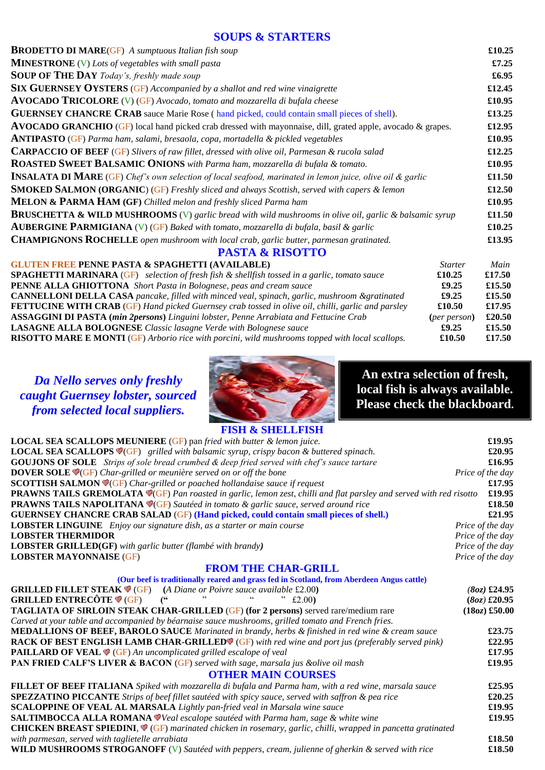### **SOUPS & STARTERS**

| <b>BRODETTO DI MARE(GF)</b> A sumptuous Italian fish soup                                                          |                | £10.25 |
|--------------------------------------------------------------------------------------------------------------------|----------------|--------|
| <b>MINESTRONE</b> $(V)$ Lots of vegetables with small pasta                                                        |                | £7.25  |
| <b>SOUP OF THE DAY</b> Today's, freshly made soup                                                                  |                | £6.95  |
| <b>SIX GUERNSEY OYSTERS (GF)</b> Accompanied by a shallot and red wine vinaigrette                                 |                | £12.45 |
| AVOCADO TRICOLORE (V) (GF) Avocado, tomato and mozzarella di bufala cheese                                         |                | £10.95 |
| <b>GUERNSEY CHANCRE CRAB</b> sauce Marie Rose (hand picked, could contain small pieces of shell).                  |                | £13.25 |
| <b>AVOCADO GRANCHIO</b> (GF) local hand picked crab dressed with mayonnaise, dill, grated apple, avocado & grapes. |                | £12.95 |
| ANTIPASTO (GF) Parma ham, salami, bresaola, copa, mortadella & pickled vegetables                                  |                | £10.95 |
| <b>CARPACCIO OF BEEF (GF)</b> Slivers of raw fillet, dressed with olive oil, Parmesan & rucola salad               |                | £12.25 |
| ROASTED SWEET BALSAMIC ONIONS with Parma ham, mozzarella di bufala & tomato.                                       |                | £10.95 |
| <b>INSALATA DI MARE</b> (GF) Chef's own selection of local seafood, marinated in lemon juice, olive oil & garlic   |                | £11.50 |
| <b>SMOKED SALMON (ORGANIC) (GF)</b> Freshly sliced and always Scottish, served with capers & lemon                 |                | £12.50 |
| MELON & PARMA HAM (GF) Chilled melon and freshly sliced Parma ham                                                  |                | £10.95 |
| <b>BRUSCHETTA &amp; WILD MUSHROOMS</b> (V) garlic bread with wild mushrooms in olive oil, garlic & balsamic syrup  |                | £11.50 |
| <b>AUBERGINE PARMIGIANA</b> (V) (GF) Baked with tomato, mozzarella di bufala, basil & garlic                       |                | £10.25 |
| <b>CHAMPIGNONS ROCHELLE</b> open mushroom with local crab, garlic butter, parmesan gratinated.                     |                | £13.95 |
| <b>PASTA &amp; RISOTTO</b>                                                                                         |                |        |
| <b>GLUTEN FREE PENNE PASTA &amp; SPAGHETTI (AVAILABLE)</b>                                                         | <b>Starter</b> | Main   |
| <b>SPAGHETTI MARINARA</b> (GF) selection of fresh fish & shellfish tossed in a garlic, tomato sauce                | £10.25         | £17.50 |
| PENNE ALLA GHIOTTONA Short Pasta in Bolognese, peas and cream sauce                                                | £9.25          | £15.50 |
| <b>CANNELLONI DELLA CASA</b> pancake, filled with minced veal, spinach, garlic, mushroom &gratinated               | £9.25          | £15.50 |
| <b>FETTUCINE WITH CRAB</b> (GF) Hand picked Guernsey crab tossed in olive oil, chilli, garlic and parsley          | £10.50         | £17.95 |
| <b>ASSAGGINI DI PASTA (min 2persons)</b> Linguini lobster, Penne Arrabiata and Fettucine Crab                      | (per person)   | £20.50 |

**LASAGNE ALLA BOLOGNESE** *Classic lasagne Verde with Bolognese sauce* **£9.25****£15.50**

**RISOTTO MARE E MONTI** (GF) *Arborio rice with porcini, wild mushrooms topped with local scallops.* **£10.50 £17.50**

*Da Nello serves only freshly caught Guernsey lobster, sourced from selected local suppliers.*



**An extra selection of fresh, local fish is always available. Please check the blackboard.**

# **FISH & SHELLFISH**

| <b>LOCAL SEA SCALLOPS MEUNIERE</b> (GF) pan fried with butter & lemon juice.                                                               | £19.95           |
|--------------------------------------------------------------------------------------------------------------------------------------------|------------------|
| <b>LOCAL SEA SCALLOPS <math>\mathcal{O}(GF)</math></b> grilled with balsamic syrup, crispy bacon & buttered spinach.                       | £20.95           |
| <b>GOUJONS OF SOLE</b> Strips of sole bread crumbed & deep fried served with chef's sauce tartare                                          | £16.95           |
| <b>DOVER SOLE <math>\mathcal{P}(GF)</math></b> Char-grilled or meunière served on or off the bone                                          | Price of the day |
| <b>SCOTTISH SALMON V(GF)</b> Char-grilled or poached hollandaise sauce if request                                                          | £17.95           |
| <b>PRAWNS TAILS GREMOLATA V(GF)</b> Pan roasted in garlic, lemon zest, chilli and flat parsley and served with red risotto                 | £19.95           |
| <b>PRAWNS TAILS NAPOLITANA V(GF)</b> Sautéed in tomato & garlic sauce, served around rice                                                  | £18.50           |
| <b>GUERNSEY CHANCRE CRAB SALAD (GF) (Hand picked, could contain small pieces of shell.)</b>                                                | £21.95           |
| <b>LOBSTER LINGUINE</b> Enjoy our signature dish, as a starter or main course                                                              | Price of the day |
| <b>LOBSTER THERMIDOR</b>                                                                                                                   | Price of the day |
| <b>LOBSTER GRILLED(GF)</b> with garlic butter (flambé with brandy)                                                                         | Price of the day |
| <b>LOBSTER MAYONNAISE (GF)</b>                                                                                                             | Price of the day |
| <b>FROM THE CHAR-GRILL</b>                                                                                                                 |                  |
| (Our beef is traditionally reared and grass fed in Scotland, from Aberdeen Angus cattle)                                                   |                  |
| <b>GRILLED FILLET STEAK <math>\blacklozenge</math> (GF)</b> (A Diane or Poivre sauce available £2.00)                                      | $(8oz)$ £24.95   |
| <b>GRILLED ENTRECÔTE</b> $\bullet$ (GF) ("<br>, ,<br>E2.00                                                                                 | $(8oz)$ £20.95   |
| <b>TAGLIATA OF SIRLOIN STEAK CHAR-GRILLED (GF) (for 2 persons)</b> served rare/medium rare                                                 | $(180Z)$ £50.00  |
| Carved at your table and accompanied by béarnaise sauce mushrooms, grilled tomato and French fries.                                        |                  |
| <b>MEDALLIONS OF BEEF, BAROLO SAUCE</b> Marinated in brandy, herbs & finished in red wine & cream sauce                                    | £23.75           |
| RACK OF BEST ENGLISH LAMB CHAR-GRILLED® (GF) with red wine and port jus (preferably served pink)                                           | £22.95           |
| <b>PAILLARD OF VEAL <math>\mathcal{P}(GF)</math></b> An uncomplicated grilled escalope of veal                                             | £17.95           |
| PAN FRIED CALF'S LIVER & BACON (GF) served with sage, marsala jus &olive oil mash                                                          | £19.95           |
| <b>OTHER MAIN COURSES</b>                                                                                                                  |                  |
| <b>FILLET OF BEEF ITALIANA</b> Spiked with mozzarella di bufala and Parma ham, with a red wine, marsala sauce                              | £25.95           |
| SPEZZATINO PICCANTE Strips of beef fillet sautéed with spicy sauce, served with saffron & pea rice                                         | £20.25           |
| SCALOPPINE OF VEAL AL MARSALA Lightly pan-fried veal in Marsala wine sauce                                                                 | £19.95           |
| <b>SALTIMBOCCA ALLA ROMANA</b> Veal escalope sautéed with Parma ham, sage & white wine                                                     | £19.95           |
| <b>CHICKEN BREAST SPIEDINI, <math>\mathcal{P}(GF)</math></b> marinated chicken in rosemary, garlic, chilli, wrapped in pancetta gratinated |                  |
| with parmesan, served with taglietelle arrabiata                                                                                           | £18.50           |
| WILD MUSHROOMS STROGANOFF (V) Sautéed with peppers, cream, julienne of gherkin & served with rice                                          | £18.50           |
|                                                                                                                                            |                  |